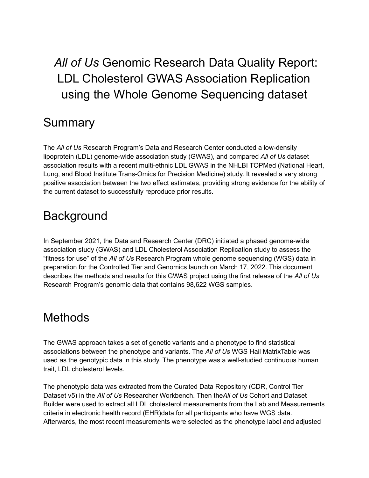# *All of Us* Genomic Research Data Quality Report: LDL Cholesterol GWAS Association Replication using the Whole Genome Sequencing dataset

### Summary

The *All of Us* Research Program's Data and Research Center conducted a low-density lipoprotein (LDL) genome-wide association study (GWAS), and compared *All of Us* dataset association results with a recent multi-ethnic LDL GWAS in the NHLBI TOPMed (National Heart, Lung, and Blood Institute Trans-Omics for Precision Medicine) study. It revealed a very strong positive association between the two effect estimates, providing strong evidence for the ability of the current dataset to successfully reproduce prior results.

#### **Background**

In September 2021, the Data and Research Center (DRC) initiated a phased genome-wide association study (GWAS) and LDL Cholesterol Association Replication study to assess the "fitness for use" of the *All of Us* Research Program whole genome sequencing (WGS) data in preparation for the Controlled Tier and Genomics launch on March 17, 2022. This document describes the methods and results for this GWAS project using the first release of the *All of Us* Research Program's genomic data that contains 98,622 WGS samples.

#### **Methods**

The GWAS approach takes a set of genetic variants and a phenotype to find statistical associations between the phenotype and variants. The *All of Us* WGS Hail MatrixTable was used as the genotypic data in this study. The phenotype was a well-studied continuous human trait, LDL cholesterol levels.

The phenotypic data was extracted from the Curated Data Repository (CDR, Control Tier Dataset v5) in the *All of Us* Researcher Workbench. Then the*All of Us* Cohort and Dataset Builder were used to extract all LDL cholesterol measurements from the Lab and Measurements criteria in electronic health record (EHR)data for all participants who have WGS data. Afterwards, the most recent measurements were selected as the phenotype label and adjusted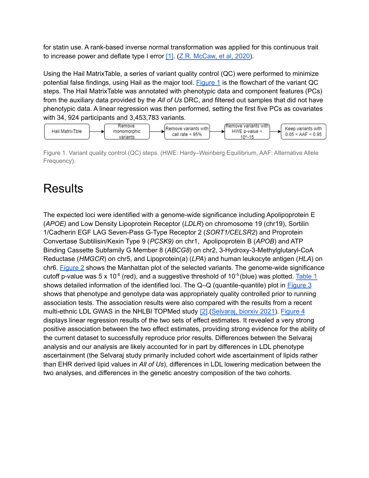for statin use. A rank-based inverse normal transformation was applied for this continuous trait to increase power and deflate type I error [\[1\].](#page-8-0) (Z.R. [McCaw,](https://pubmed.ncbi.nlm.nih.gov/31883270/) et al, 2020).

Using the Hail MatrixTable, a series of variant quality control (QC) were performed to minimize potential false findings, using Hail as the major tool. [Figure](#page-1-0)  $1$  is the flowchart of the variant QC steps. The Hail MatrixTable was annotated with phenotypic data and component features (PCs) from the auxiliary data provided by the *All of Us* DRC, and filtered out samples that did not have phenotypic data. A linear regression was then performed, setting the first five PCs as covariates with 34, 924 participants and 3,453,783 variants.



<span id="page-1-0"></span>Figure 1. Variant quality control (QC) steps. (HWE: Hardy–Weinberg Equilibrium, AAF: Alternative Allele Frequency).

## **Results**

The expected loci were identified with a genome-wide significance including Apolipoprotein E (*APOE)* and Low Density Lipoprotein Receptor (*LDLR*) on chromosome 19 (chr19), Sortilin 1/Cadherin EGF LAG Seven-Pass G-Type Receptor 2 (*SORT1/CELSR2*) and Proprotein Convertase Subtilisin/Kexin Type 9 (*PCSK9)* on chr1, Apolipoprotein B (*APOB*) and ATP Binding Cassette Subfamily G Member 8 (*ABCG8*) on chr2, 3-Hydroxy-3-Methylglutaryl-CoA Reductase (*HMGCR*) on chr5, and Lipoprotein(a) (*LPA*) and human leukocyte antigen (*HLA*) on chr6. [Figure](#page-2-0) 2 shows the Manhattan plot of the selected variants. The genome-wide significance cutoff p-value was 5 x 10<sup>-8</sup> (red), and a suggestive threshold of 10<sup>-5</sup> (blue) was plotted. [Table](#page-2-1) 1 shows detailed information of the identified loci. The Q-Q (quantile-quantile) plot in **[Figure](https://docs.google.com/document/d/1RB4RdP0iBNHjKH1w4coYChuo0MJgqtL6dqDVPKiECHs/edit#heading=h.hdv3ylica06f) 3** shows that phenotype and genotype data was appropriately quality controlled prior to running association tests. The association results were also compared with the results from a recent multi-ethnic LDL GWAS in the NHLBI TOPMed study [\[2\]](#page-8-1).[\(Selvaraj,](https://www.biorxiv.org/content/10.1101/2021.10.11.463514v1) biorxiv 2021). [Figure](#page-5-0) 4 displays linear regression results of the two sets of effect estimates. It revealed a very strong positive association between the two effect estimates, providing strong evidence for the ability of the current dataset to successfully reproduce prior results. Differences between the Selvaraj analysis and our analysis are likely accounted for in part by differences in LDL phenotype ascertainment (the Selvaraj study primarily included cohort wide ascertainment of lipids rather than EHR derived lipid values in *All of Us*), differences in LDL lowering medication between the two analyses, and differences in the genetic ancestry composition of the two cohorts.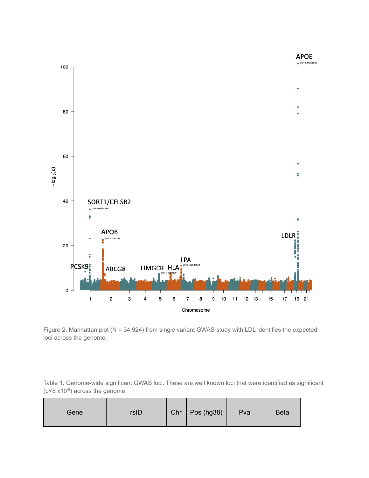

<span id="page-2-0"></span>Figure 2. Manhattan plot (N = 34,924) from single variant GWAS study with LDL identifies the expected loci across the genome.

<span id="page-2-1"></span>Table 1. Genome-wide significant GWAS loci. These are well known loci that were identified as significant  $(p<5 x10<sup>-8</sup>)$  across the genome.

| Gene | rsID |  | Chr   Pos (hg38) | Pval | <b>Beta</b> |
|------|------|--|------------------|------|-------------|
|------|------|--|------------------|------|-------------|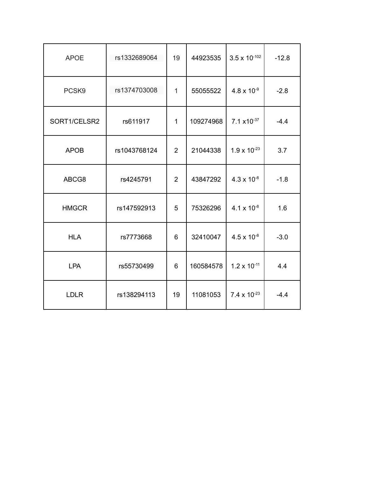| <b>APOE</b>  | rs1332689064 | 19           | 44923535  | $3.5 \times 10^{-102}$        | $-12.8$ |
|--------------|--------------|--------------|-----------|-------------------------------|---------|
| PCSK9        | rs1374703008 | $\mathbf{1}$ | 55055522  | $4.8 \times 10^{-9}$          | $-2.8$  |
| SORT1/CELSR2 | rs611917     | $\mathbf{1}$ | 109274968 | $7.1 \times 10^{-37}$         | $-4.4$  |
| <b>APOB</b>  | rs1043768124 | 2            | 21044338  | $1.9 \times 10^{-23}$         | 3.7     |
| ABCG8        | rs4245791    | 2            | 43847292  | $4.3 \times 10^{-8}$          | $-1.8$  |
| <b>HMGCR</b> | rs147592913  | 5            | 75326296  | 4.1 $\times$ 10 <sup>-8</sup> | 1.6     |
| <b>HLA</b>   | rs7773668    | 6            | 32410047  | $4.5 \times 10^{-8}$          | $-3.0$  |
| <b>LPA</b>   | rs55730499   | 6            | 160584578 | $1.2 \times 10^{-11}$         | 4.4     |
| <b>LDLR</b>  | rs138294113  | 19           | 11081053  | 7.4 x $10^{-23}$              | $-4.4$  |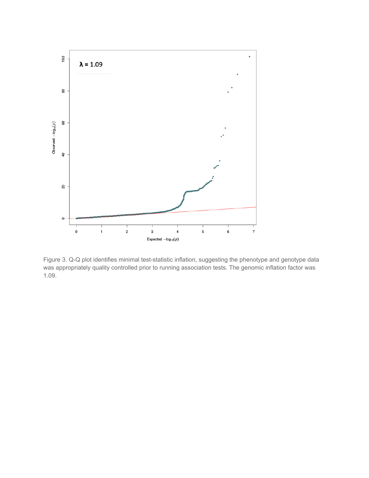

Figure 3. Q-Q plot identifies minimal test-statistic inflation, suggesting the phenotype and genotype data was appropriately quality controlled prior to running association tests. The genomic inflation factor was 1.09.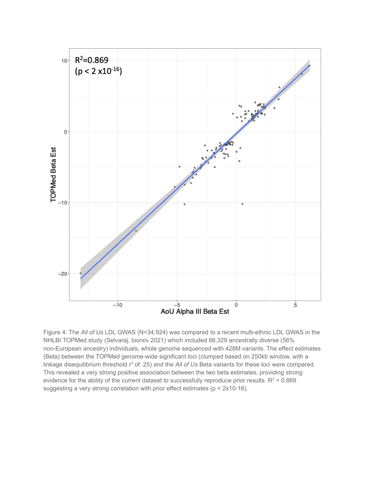

<span id="page-5-0"></span>Figure 4. The *All of Us* LDL GWAS (N=34,924) was compared to a recent multi-ethnic LDL GWAS in the NHLBI TOPMed study (Selvaraj, biorxiv 2021) which included 66,329 ancestrally diverse (56% non-European ancestry) individuals, whole genome sequenced with 428M variants. The effect estimates (Beta) between the TOPMed genome-wide significant loci (clumped based on 250kb window, with a linkage disequilibrium threshold r <sup>2</sup> of .25) and the *All of Us* Beta variants for these loci were compared. This revealed a very strong positive association between the two beta estimates, providing strong evidence for the ability of the current dataset to successfully reproduce prior results.  $R^2 = 0.869$ suggesting a very strong correlation with prior effect estimates (p < 2x10-16).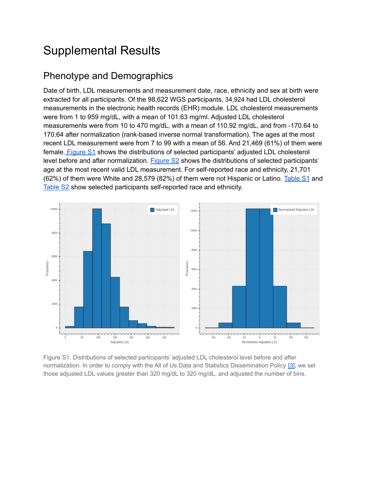## Supplemental Results

#### Phenotype and Demographics

Date of birth, LDL measurements and measurement date, race, ethnicity and sex at birth were extracted for all participants. Of the 98,622 WGS participants, 34,924 had LDL cholesterol measurements in the electronic health records (EHR) module. LDL cholesterol measurements were from 1 to 959 mg/dL, with a mean of 101.63 mg/ml. Adjusted LDL cholesterol measurements were from 10 to 470 mg/dL, with a mean of 110.92 mg/dL, and from -170.64 to 170.64 after normalization (rank-based inverse normal transformation). The ages at the most recent LDL measurement were from 7 to 99 with a mean of 56. And 21,469 (61%) of them were female. [Figure](#page-6-0) S1 shows the distributions of selected participants' adjusted LDL cholesterol level before and after normalization. [Figure](#page-7-0) S2 shows the distributions of selected participants' age at the most recent valid LDL measurement. For self-reported race and ethnicity, 21,701 (62%) of them were White and 28,579 (82%) of them were not Hispanic or Latino. [Table](#page-7-1) S1 and [Table](#page-8-2) S2 show selected participants self-reported race and ethnicity.



<span id="page-6-0"></span>Figure S1. Distributions of selected participants' adjusted LDL cholesterol level before and after normalization. In order to comply with the All of Us Data and Statistics Dissemination Policy [\[3\]](#page-8-3), we set those adjusted LDL values greater than 320 mg/dL to 320 mg/dL, and adjusted the number of bins.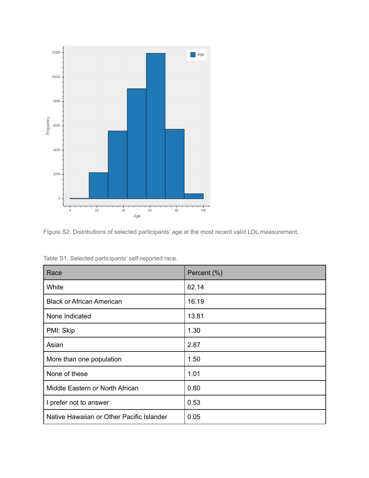

<span id="page-7-0"></span>

| Race                                      | Percent (%) |  |  |
|-------------------------------------------|-------------|--|--|
| White                                     | 62.14       |  |  |
| <b>Black or African American</b>          | 16.19       |  |  |
| None Indicated                            | 13.81       |  |  |
| PMI: Skip                                 | 1.30        |  |  |
| Asian                                     | 2.87        |  |  |
| More than one population                  | 1.50        |  |  |
| None of these                             | 1.01        |  |  |
| Middle Eastern or North African           | 0.60        |  |  |
| I prefer not to answer                    | 0.53        |  |  |
| Native Hawaiian or Other Pacific Islander | 0.05        |  |  |

<span id="page-7-1"></span>Table S1. Selected participants' self-reported race.